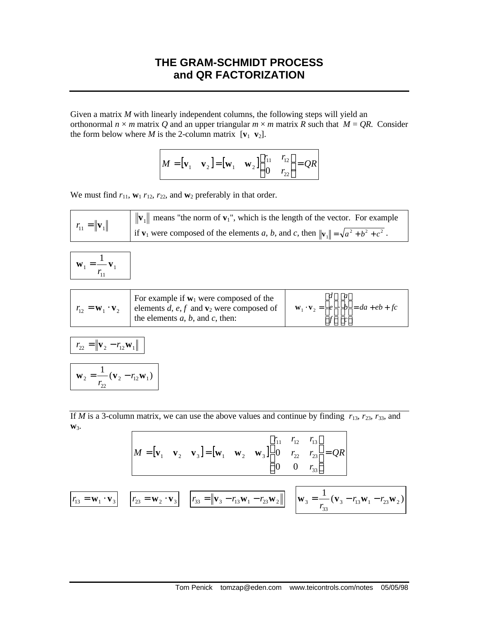## **THE GRAM-SCHMIDT PROCESS and QR FACTORIZATION**

Given a matrix *M* with linearly independent columns, the following steps will yield an orthonormal  $n \times m$  matrix Q and an upper triangular  $m \times m$  matrix R such that  $M = QR$ . Consider the form below where *M* is the 2-column matrix  $[\mathbf{v}_1 \ \mathbf{v}_2]$ .

$$
\mathbf{M} = [\mathbf{v}_1 \quad \mathbf{v}_2] = [\mathbf{w}_1 \quad \mathbf{w}_2] \begin{bmatrix} r_{11} & r_{12} \\ 0 & r_{22} \end{bmatrix} = QR
$$

We must find  $r_{11}$ ,  $\mathbf{w}_1$   $r_{12}$ ,  $r_{22}$ , and  $\mathbf{w}_2$  preferably in that order.

$$
r_{11} = ||\mathbf{v}_1||
$$
  $||\mathbf{v}_1||$  means "the norm of  $\mathbf{v}_1$ ", which is the length of the vector. For example  
if  $\mathbf{v}_1$  were composed of the elements *a*, *b*, and *c*, then  $||\mathbf{v}_1|| = \sqrt{a^2 + b^2 + c^2}$ .

$$
\mathbf{w}_1 = \frac{1}{r_{11}} \mathbf{v}_1
$$

| $r_{12} = \mathbf{W}_1 \cdot \mathbf{V}_2$ | For example if $w_1$ were composed of the<br>elements d, e, f and $\mathbf{v}_2$ were composed of<br>the elements $a, b$ , and $c$ , then: | $\lceil d \rceil \lceil a \rceil$<br><b>w</b> <sub>1</sub> · <b>v</b> <sub>2</sub> = $ e  \cdot  b  = da + eb + fc$<br> f  c |  |
|--------------------------------------------|--------------------------------------------------------------------------------------------------------------------------------------------|------------------------------------------------------------------------------------------------------------------------------|--|
|                                            |                                                                                                                                            |                                                                                                                              |  |

$$
r_{22} = ||\mathbf{v}_2 - r_{12}\mathbf{w}_1||
$$

 $\frac{1}{2}(\mathbf{v}_2 - r_{12}\mathbf{w}_1)$ 2  $12$  V  $1$ 22  $\mathbf{w}_2 = \frac{1}{r_{22}} (\mathbf{v}_2 - r_{12} \mathbf{w})$  $=$   $({\bf v}$ <sub>2</sub>  $-$ 

If *M* is a 3-column matrix, we can use the above values and continue by finding  $r_{13}$ ,  $r_{23}$ ,  $r_{33}$ , and **w**3.

$$
M = [\mathbf{v}_1 \quad \mathbf{v}_2 \quad \mathbf{v}_3] = [\mathbf{w}_1 \quad \mathbf{w}_2 \quad \mathbf{w}_3] \begin{bmatrix} r_{11} & r_{12} & r_{13} \\ 0 & r_{22} & r_{23} \\ 0 & 0 & r_{33} \end{bmatrix} = QR
$$
  

$$
\overline{r_{13} = \mathbf{w}_1 \cdot \mathbf{v}_3} \qquad \overline{r_{23} = \mathbf{w}_2 \cdot \mathbf{v}_3} \qquad \overline{r_{33} = ||\mathbf{v}_3 - r_{13} \mathbf{w}_1 - r_{23} \mathbf{w}_2||} \qquad \overline{\mathbf{w}_3 = \frac{1}{r_{33}} (\mathbf{v}_3 - r_{13} \mathbf{w}_1 - r_{23} \mathbf{w}_2)}
$$